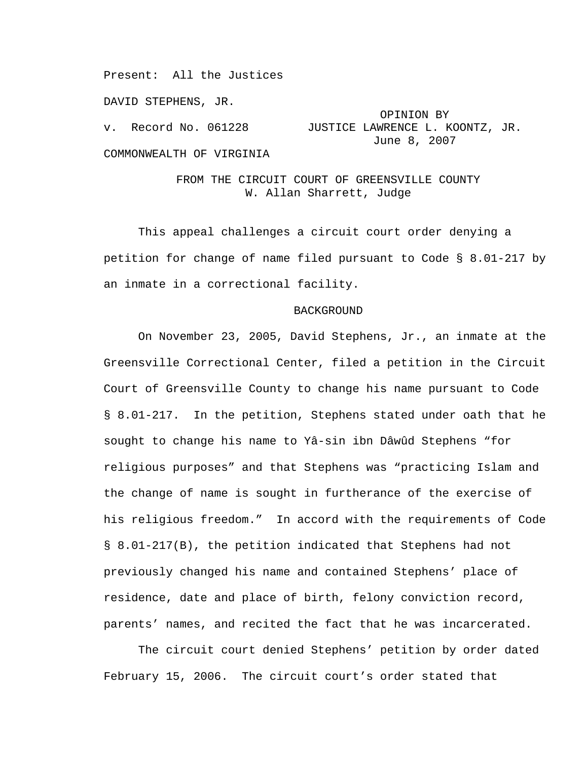Present: All the Justices

DAVID STEPHENS, JR.

# OPINION BY v. Record No. 061228 JUSTICE LAWRENCE L. KOONTZ, JR. June 8, 2007

COMMONWEALTH OF VIRGINIA

## FROM THE CIRCUIT COURT OF GREENSVILLE COUNTY W. Allan Sharrett, Judge

 This appeal challenges a circuit court order denying a petition for change of name filed pursuant to Code § 8.01-217 by an inmate in a correctional facility.

### BACKGROUND

 On November 23, 2005, David Stephens, Jr., an inmate at the Greensville Correctional Center, filed a petition in the Circuit Court of Greensville County to change his name pursuant to Code § 8.01-217. In the petition, Stephens stated under oath that he sought to change his name to Yâ-sin ibn Dâwûd Stephens "for religious purposes" and that Stephens was "practicing Islam and the change of name is sought in furtherance of the exercise of his religious freedom." In accord with the requirements of Code § 8.01-217(B), the petition indicated that Stephens had not previously changed his name and contained Stephens' place of residence, date and place of birth, felony conviction record, parents' names, and recited the fact that he was incarcerated.

 The circuit court denied Stephens' petition by order dated February 15, 2006. The circuit court's order stated that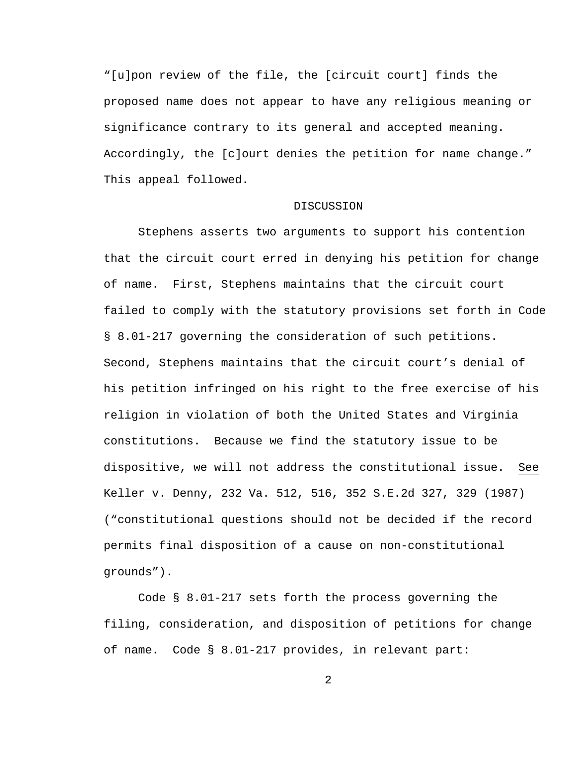"[u]pon review of the file, the [circuit court] finds the proposed name does not appear to have any religious meaning or significance contrary to its general and accepted meaning. Accordingly, the [c]ourt denies the petition for name change." This appeal followed.

## **DISCUSSION**

 Stephens asserts two arguments to support his contention that the circuit court erred in denying his petition for change of name. First, Stephens maintains that the circuit court failed to comply with the statutory provisions set forth in Code § 8.01-217 governing the consideration of such petitions. Second, Stephens maintains that the circuit court's denial of his petition infringed on his right to the free exercise of his religion in violation of both the United States and Virginia constitutions. Because we find the statutory issue to be dispositive, we will not address the constitutional issue. See Keller v. Denny, 232 Va. 512, 516, 352 S.E.2d 327, 329 (1987) ("constitutional questions should not be decided if the record permits final disposition of a cause on non-constitutional grounds").

 Code § 8.01-217 sets forth the process governing the filing, consideration, and disposition of petitions for change of name. Code § 8.01-217 provides, in relevant part: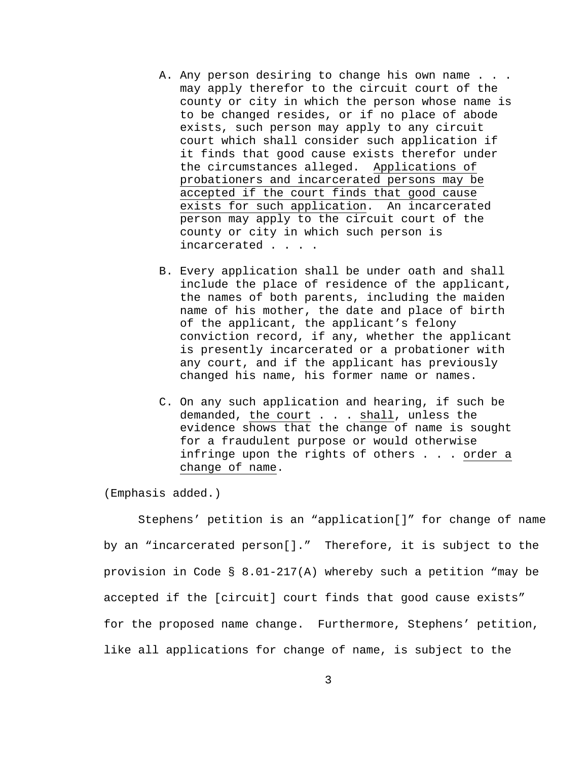- A. Any person desiring to change his own name . . . may apply therefor to the circuit court of the county or city in which the person whose name is to be changed resides, or if no place of abode exists, such person may apply to any circuit court which shall consider such application if it finds that good cause exists therefor under the circumstances alleged. Applications of probationers and incarcerated persons may be accepted if the court finds that good cause exists for such application. An incarcerated person may apply to the circuit court of the county or city in which such person is incarcerated . . . .
- B. Every application shall be under oath and shall include the place of residence of the applicant, the names of both parents, including the maiden name of his mother, the date and place of birth of the applicant, the applicant's felony conviction record, if any, whether the applicant is presently incarcerated or a probationer with any court, and if the applicant has previously changed his name, his former name or names.
- C. On any such application and hearing, if such be demanded, the court . . . shall, unless the evidence shows that the change of name is sought for a fraudulent purpose or would otherwise infringe upon the rights of others . . . order a change of name.

(Emphasis added.)

 Stephens' petition is an "application[]" for change of name by an "incarcerated person[]." Therefore, it is subject to the provision in Code § 8.01-217(A) whereby such a petition "may be accepted if the [circuit] court finds that good cause exists" for the proposed name change. Furthermore, Stephens' petition, like all applications for change of name, is subject to the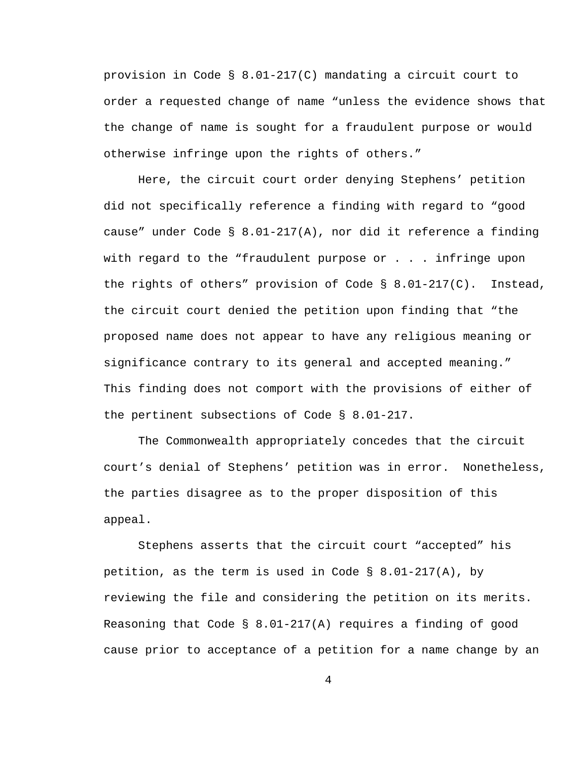provision in Code § 8.01-217(C) mandating a circuit court to order a requested change of name "unless the evidence shows that the change of name is sought for a fraudulent purpose or would otherwise infringe upon the rights of others."

 Here, the circuit court order denying Stephens' petition did not specifically reference a finding with regard to "good cause" under Code § 8.01-217(A), nor did it reference a finding with regard to the "fraudulent purpose or  $\ldots$  . infringe upon the rights of others" provision of Code § 8.01-217(C). Instead, the circuit court denied the petition upon finding that "the proposed name does not appear to have any religious meaning or significance contrary to its general and accepted meaning." This finding does not comport with the provisions of either of the pertinent subsections of Code § 8.01-217.

 The Commonwealth appropriately concedes that the circuit court's denial of Stephens' petition was in error. Nonetheless, the parties disagree as to the proper disposition of this appeal.

 Stephens asserts that the circuit court "accepted" his petition, as the term is used in Code §  $8.01-217(A)$ , by reviewing the file and considering the petition on its merits. Reasoning that Code  $\S$  8.01-217(A) requires a finding of good cause prior to acceptance of a petition for a name change by an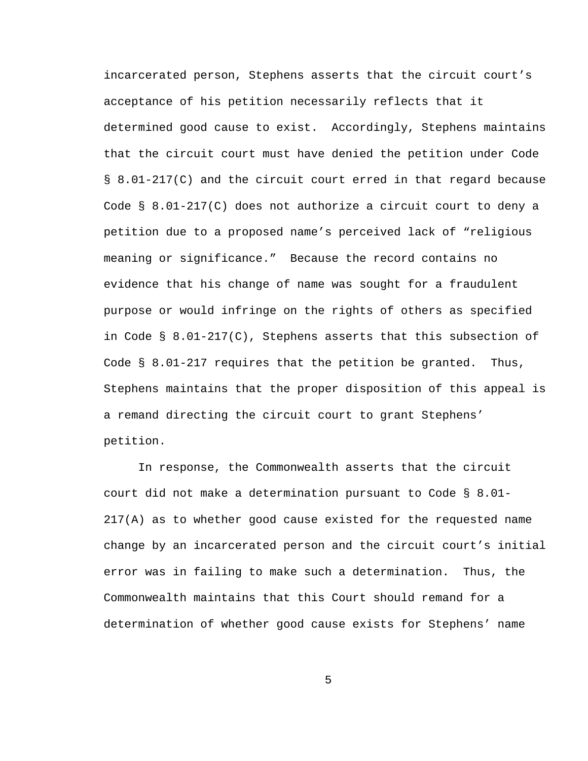incarcerated person, Stephens asserts that the circuit court's acceptance of his petition necessarily reflects that it determined good cause to exist. Accordingly, Stephens maintains that the circuit court must have denied the petition under Code § 8.01-217(C) and the circuit court erred in that regard because Code § 8.01-217(C) does not authorize a circuit court to deny a petition due to a proposed name's perceived lack of "religious meaning or significance." Because the record contains no evidence that his change of name was sought for a fraudulent purpose or would infringe on the rights of others as specified in Code § 8.01-217(C), Stephens asserts that this subsection of Code § 8.01-217 requires that the petition be granted. Thus, Stephens maintains that the proper disposition of this appeal is a remand directing the circuit court to grant Stephens' petition.

 In response, the Commonwealth asserts that the circuit court did not make a determination pursuant to Code § 8.01- 217(A) as to whether good cause existed for the requested name change by an incarcerated person and the circuit court's initial error was in failing to make such a determination. Thus, the Commonwealth maintains that this Court should remand for a determination of whether good cause exists for Stephens' name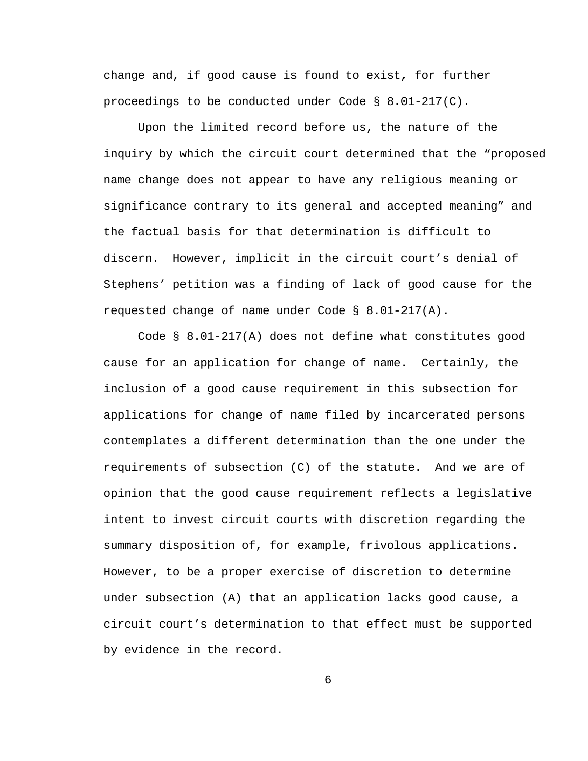change and, if good cause is found to exist, for further proceedings to be conducted under Code § 8.01-217(C).

 Upon the limited record before us, the nature of the inquiry by which the circuit court determined that the "proposed name change does not appear to have any religious meaning or significance contrary to its general and accepted meaning" and the factual basis for that determination is difficult to discern. However, implicit in the circuit court's denial of Stephens' petition was a finding of lack of good cause for the requested change of name under Code § 8.01-217(A).

 Code § 8.01-217(A) does not define what constitutes good cause for an application for change of name. Certainly, the inclusion of a good cause requirement in this subsection for applications for change of name filed by incarcerated persons contemplates a different determination than the one under the requirements of subsection (C) of the statute. And we are of opinion that the good cause requirement reflects a legislative intent to invest circuit courts with discretion regarding the summary disposition of, for example, frivolous applications. However, to be a proper exercise of discretion to determine under subsection (A) that an application lacks good cause, a circuit court's determination to that effect must be supported by evidence in the record.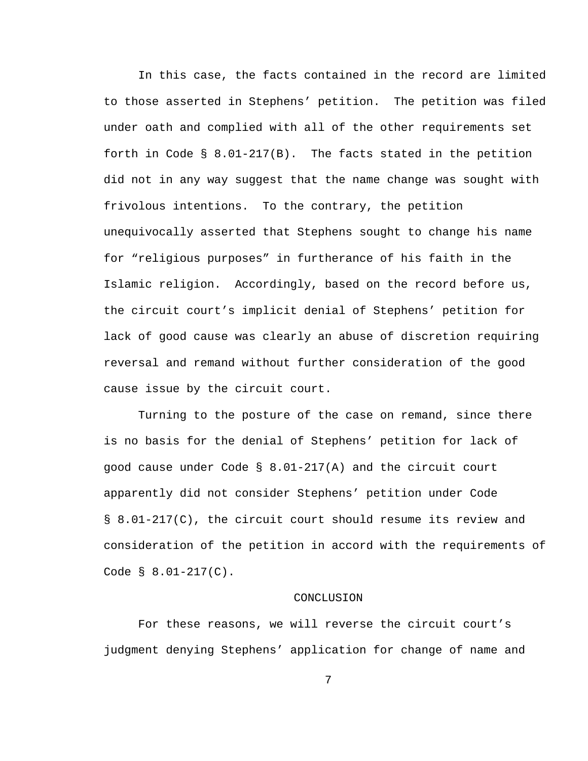In this case, the facts contained in the record are limited to those asserted in Stephens' petition. The petition was filed under oath and complied with all of the other requirements set forth in Code § 8.01-217(B). The facts stated in the petition did not in any way suggest that the name change was sought with frivolous intentions. To the contrary, the petition unequivocally asserted that Stephens sought to change his name for "religious purposes" in furtherance of his faith in the Islamic religion. Accordingly, based on the record before us, the circuit court's implicit denial of Stephens' petition for lack of good cause was clearly an abuse of discretion requiring reversal and remand without further consideration of the good cause issue by the circuit court.

 Turning to the posture of the case on remand, since there is no basis for the denial of Stephens' petition for lack of good cause under Code § 8.01-217(A) and the circuit court apparently did not consider Stephens' petition under Code § 8.01-217(C), the circuit court should resume its review and consideration of the petition in accord with the requirements of Code § 8.01-217(C).

#### CONCLUSION

 For these reasons, we will reverse the circuit court's judgment denying Stephens' application for change of name and